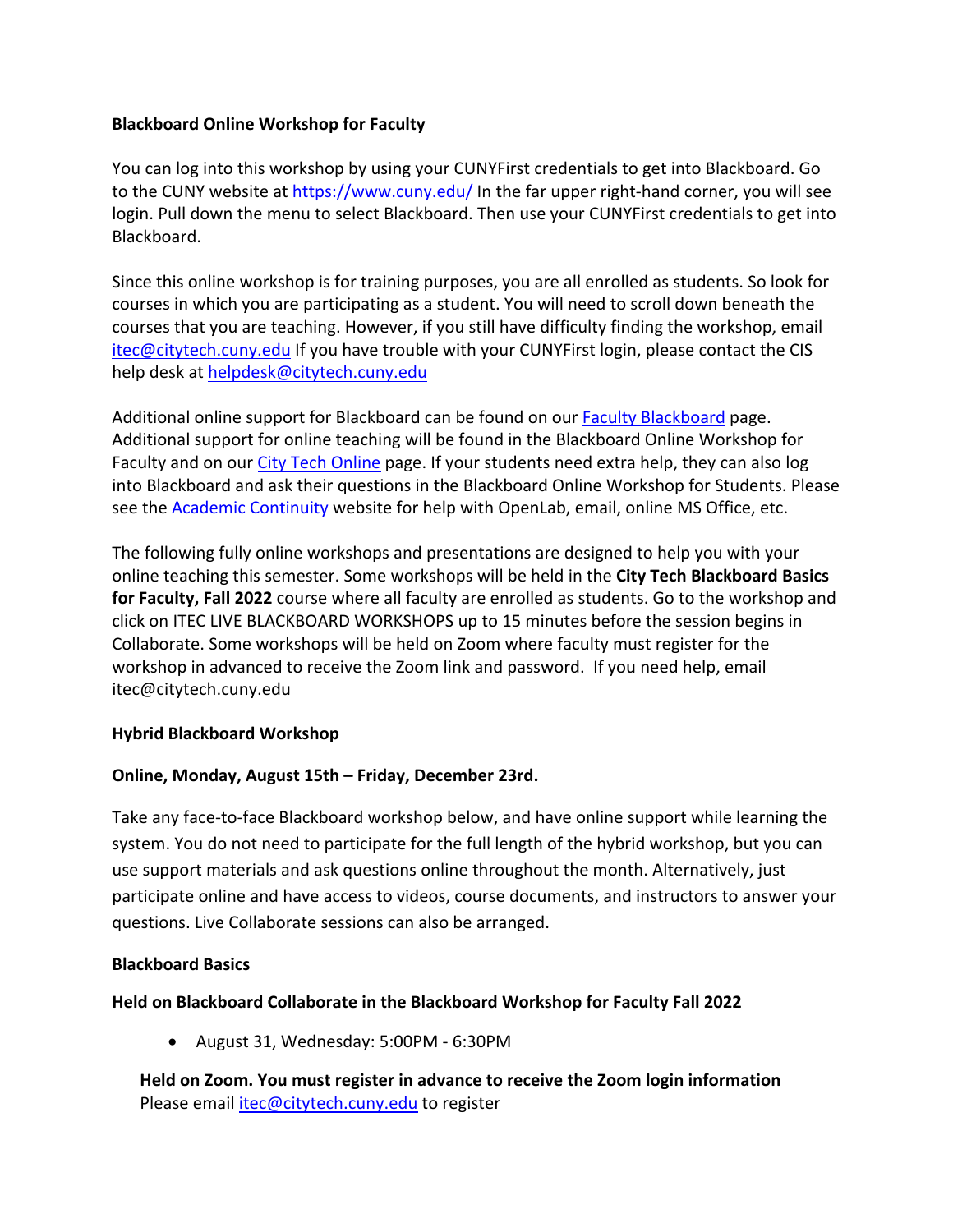# **Blackboard Online Workshop for Faculty**

You can log into this workshop by using your CUNYFirst credentials to get into Blackboard. Go to the CUNY website at https://www.cuny.edu/ In the far upper right-hand corner, you will see login. Pull down the menu to select Blackboard. Then use your CUNYFirst credentials to get into Blackboard.

Since this online workshop is for training purposes, you are all enrolled as students. So look for courses in which you are participating as a student. You will need to scroll down beneath the courses that you are teaching. However, if you still have difficulty finding the workshop, email itec@citytech.cuny.edu If you have trouble with your CUNYFirst login, please contact the CIS help desk at helpdesk@citytech.cuny.edu

Additional online support for Blackboard can be found on our Faculty Blackboard page. Additional support for online teaching will be found in the Blackboard Online Workshop for Faculty and on our City Tech Online page. If your students need extra help, they can also log into Blackboard and ask their questions in the Blackboard Online Workshop for Students. Please see the Academic Continuity website for help with OpenLab, email, online MS Office, etc.

The following fully online workshops and presentations are designed to help you with your online teaching this semester. Some workshops will be held in the **City Tech Blackboard Basics for Faculty, Fall 2022** course where all faculty are enrolled as students. Go to the workshop and click on ITEC LIVE BLACKBOARD WORKSHOPS up to 15 minutes before the session begins in Collaborate. Some workshops will be held on Zoom where faculty must register for the workshop in advanced to receive the Zoom link and password. If you need help, email itec@citytech.cuny.edu

# **Hybrid Blackboard Workshop**

# **Online, Monday, August 15th – Friday, December 23rd.**

Take any face-to-face Blackboard workshop below, and have online support while learning the system. You do not need to participate for the full length of the hybrid workshop, but you can use support materials and ask questions online throughout the month. Alternatively, just participate online and have access to videos, course documents, and instructors to answer your questions. Live Collaborate sessions can also be arranged.

# **Blackboard Basics**

# **Held on Blackboard Collaborate in the Blackboard Workshop for Faculty Fall 2022**

• August 31, Wednesday: 5:00PM - 6:30PM

**Held on Zoom. You must register in advance to receive the Zoom login information** Please email *itec@citytech.cuny.edu* to register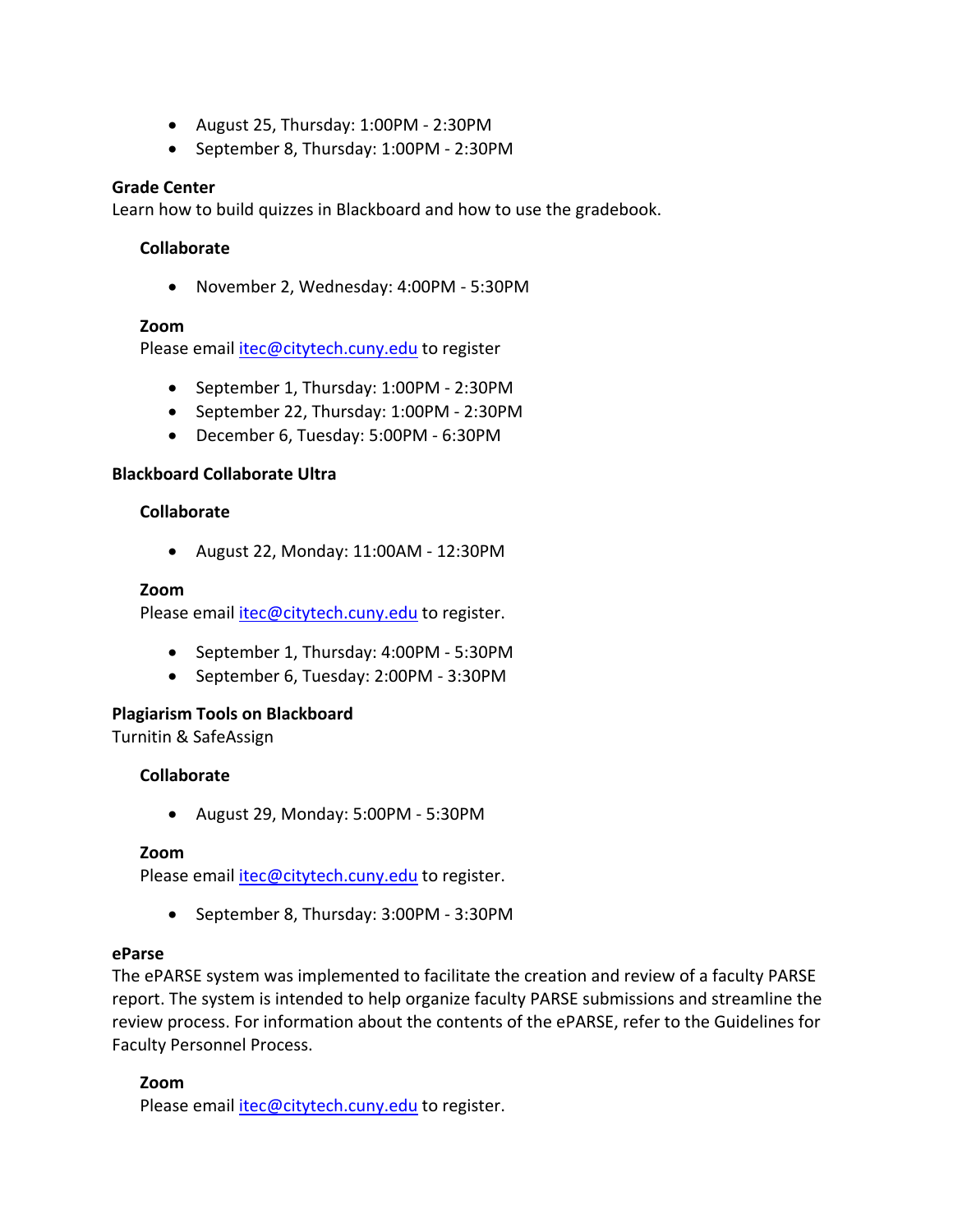- August 25, Thursday: 1:00PM 2:30PM
- September 8, Thursday: 1:00PM 2:30PM

### **Grade Center**

Learn how to build quizzes in Blackboard and how to use the gradebook.

### **Collaborate**

• November 2, Wednesday: 4:00PM - 5:30PM

### **Zoom**

Please email itec@citytech.cuny.edu to register

- September 1, Thursday: 1:00PM 2:30PM
- September 22, Thursday: 1:00PM 2:30PM
- December 6, Tuesday: 5:00PM 6:30PM

### **Blackboard Collaborate Ultra**

#### **Collaborate**

• August 22, Monday: 11:00AM - 12:30PM

#### **Zoom**

Please email itec@citytech.cuny.edu to register.

- September 1, Thursday: 4:00PM 5:30PM
- September 6, Tuesday: 2:00PM 3:30PM

#### **Plagiarism Tools on Blackboard**

Turnitin & SafeAssign

#### **Collaborate**

• August 29, Monday: 5:00PM - 5:30PM

#### **Zoom**

Please email *itec@citytech.cuny.edu* to register.

• September 8, Thursday: 3:00PM - 3:30PM

#### **eParse**

The ePARSE system was implemented to facilitate the creation and review of a faculty PARSE report. The system is intended to help organize faculty PARSE submissions and streamline the review process. For information about the contents of the ePARSE, refer to the Guidelines for Faculty Personnel Process.

#### **Zoom**

Please email itec@citytech.cuny.edu to register.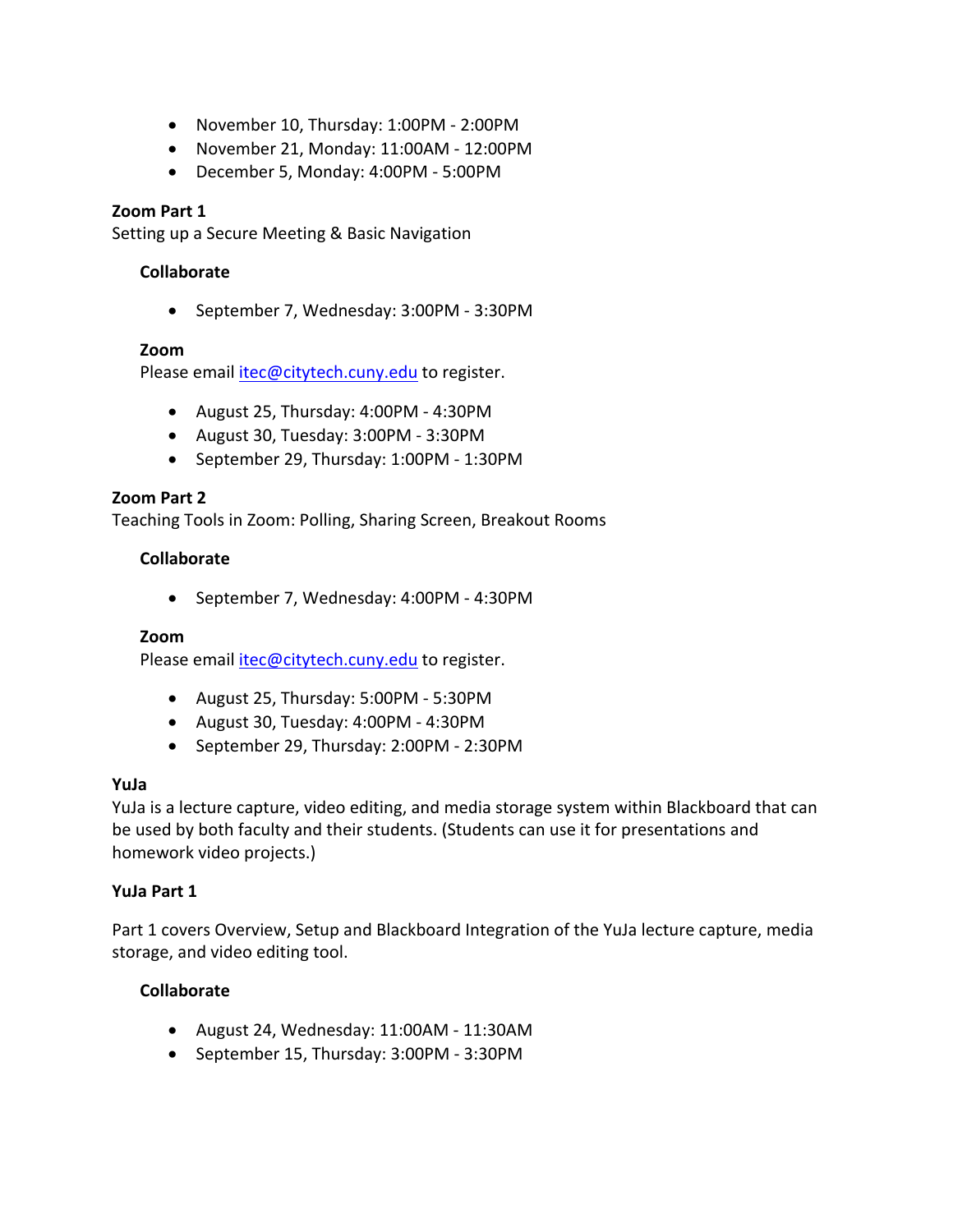- November 10, Thursday: 1:00PM 2:00PM
- November 21, Monday: 11:00AM 12:00PM
- December 5, Monday: 4:00PM 5:00PM

# **Zoom Part 1**

Setting up a Secure Meeting & Basic Navigation

# **Collaborate**

• September 7, Wednesday: 3:00PM - 3:30PM

### **Zoom**

Please email itec@citytech.cuny.edu to register.

- August 25, Thursday: 4:00PM 4:30PM
- August 30, Tuesday: 3:00PM 3:30PM
- September 29, Thursday: 1:00PM 1:30PM

### **Zoom Part 2**

Teaching Tools in Zoom: Polling, Sharing Screen, Breakout Rooms

### **Collaborate**

• September 7, Wednesday: 4:00PM - 4:30PM

#### **Zoom**

Please email itec@citytech.cuny.edu to register.

- August 25, Thursday: 5:00PM 5:30PM
- August 30, Tuesday: 4:00PM 4:30PM
- September 29, Thursday: 2:00PM 2:30PM

# **YuJa**

YuJa is a lecture capture, video editing, and media storage system within Blackboard that can be used by both faculty and their students. (Students can use it for presentations and homework video projects.)

#### **YuJa Part 1**

Part 1 covers Overview, Setup and Blackboard Integration of the YuJa lecture capture, media storage, and video editing tool.

# **Collaborate**

- August 24, Wednesday: 11:00AM 11:30AM
- September 15, Thursday: 3:00PM 3:30PM